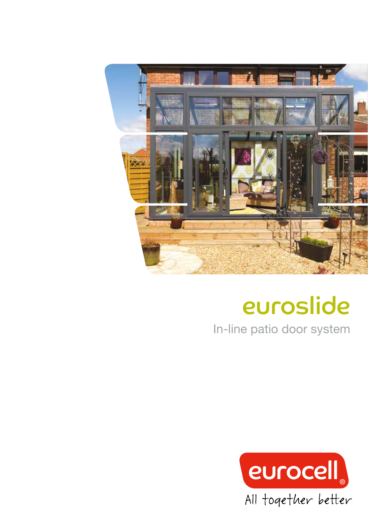

# euroslide

In-line patio door system

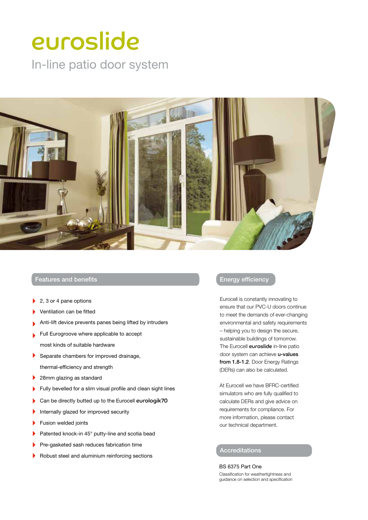## euroslide

In-line patio door system



#### Features and benefits

- 2, 3 or 4 pane options
- Ventilation can be fitted
- Anti-lift device prevents panes being lifted by intruders
- Full Eurogroove where applicable to accept most kinds of suitable hardware
- Separate chambers for improved drainage,  $\blacktriangleright$ thermal-efficiency and strength
- 28mm glazing as standard
- Fully bevelled for a slim visual profile and clean sight lines
- Can be directly butted up to the Eurocell eurologik70  $\mathbf b$
- Internally glazed for improved security
- Fusion welded joints
- Patented knock-in 45° putty-line and scotia bead ь
- Pre-gasketed sash reduces fabrication time
- Robust steel and aluminium reinforcing sections

#### Energy efficiency

Eurocell is constantly innovating to ensure that our PVC-U doors continue to meet the demands of ever-changing environmental and safety requirements – helping you to design the secure, sustainable buildings of tomorrow. The Eurocell euroslide in-line patio door system can achieve u-values from 1.8-1.2. Door Energy Ratings (DERs) can also be calculated.

At Eurocell we have BFRC-certified simulators who are fully qualified to calculate DERs and give advice on requirements for compliance. For more information, please contact our technical department.

### Accreditations

BS 6375 Part One Classification for weathertightness and guidance on selection and specification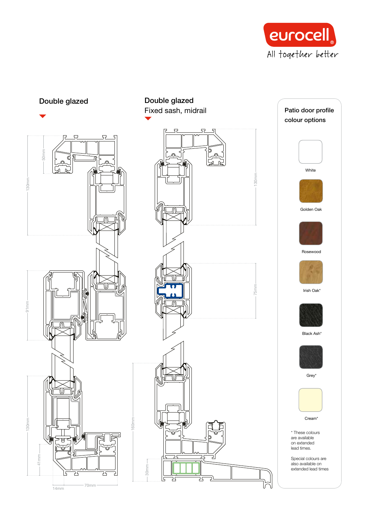